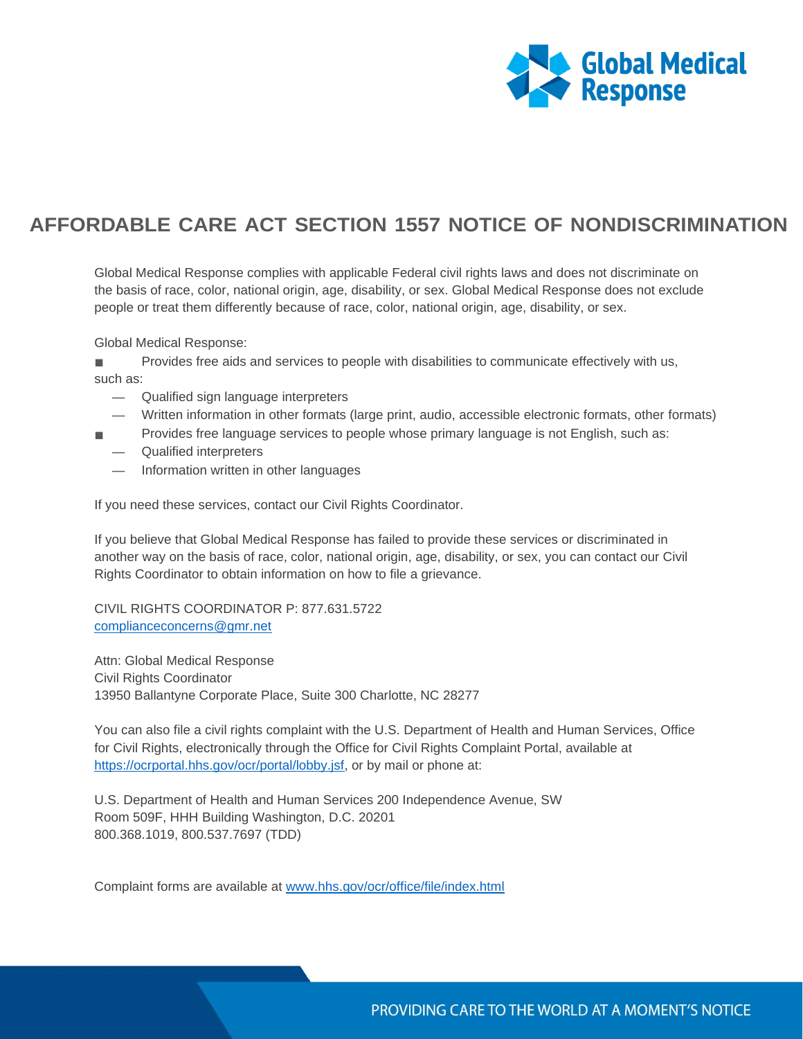

## **AFFORDABLE CARE ACT SECTION 1557 NOTICE OF NONDISCRIMINATION**

Global Medical Response complies with applicable Federal civil rights laws and does not discriminate on the basis of race, color, national origin, age, disability, or sex. Global Medical Response does not exclude people or treat them differently because of race, color, national origin, age, disability, or sex.

Global Medical Response:

■ Provides free aids and services to people with disabilities to communicate effectively with us, such as:

- Qualified sign language interpreters
- Written information in other formats (large print, audio, accessible electronic formats, other formats)
- Provides free language services to people whose primary language is not English, such as: — Qualified interpreters
	- Information written in other languages

If you need these services, contact our Civil Rights Coordinator.

If you believe that Global Medical Response has failed to provide these services or discriminated in another way on the basis of race, color, national origin, age, disability, or sex, you can contact our Civil Rights Coordinator to obtain information on how to file a grievance.

CIVIL RIGHTS COORDINATOR P: 877.631.5722 [complianceconcerns@gmr.net](mailto:complianceconcerns@gmr.net)

Attn: Global Medical Response Civil Rights Coordinator 13950 Ballantyne Corporate Place, Suite 300 Charlotte, NC 28277

You can also file a civil rights complaint with the U.S. Department of Health and Human Services, Office for Civil Rights, electronically through the Office for Civil Rights Complaint Portal, available at [https://ocrportal.hhs.gov/ocr/portal/lobby.jsf,](https://ocrportal.hhs.gov/ocr/portal/lobby.jsf) or by mail or phone at:

U.S. Department of Health and Human Services 200 Independence Avenue, SW Room 509F, HHH Building Washington, D.C. 20201 800.368.1019, 800.537.7697 (TDD)

Complaint forms are available at [www.hhs.gov/ocr/office/file/index.html](http://www.hhs.gov/ocr/office/file/index.html)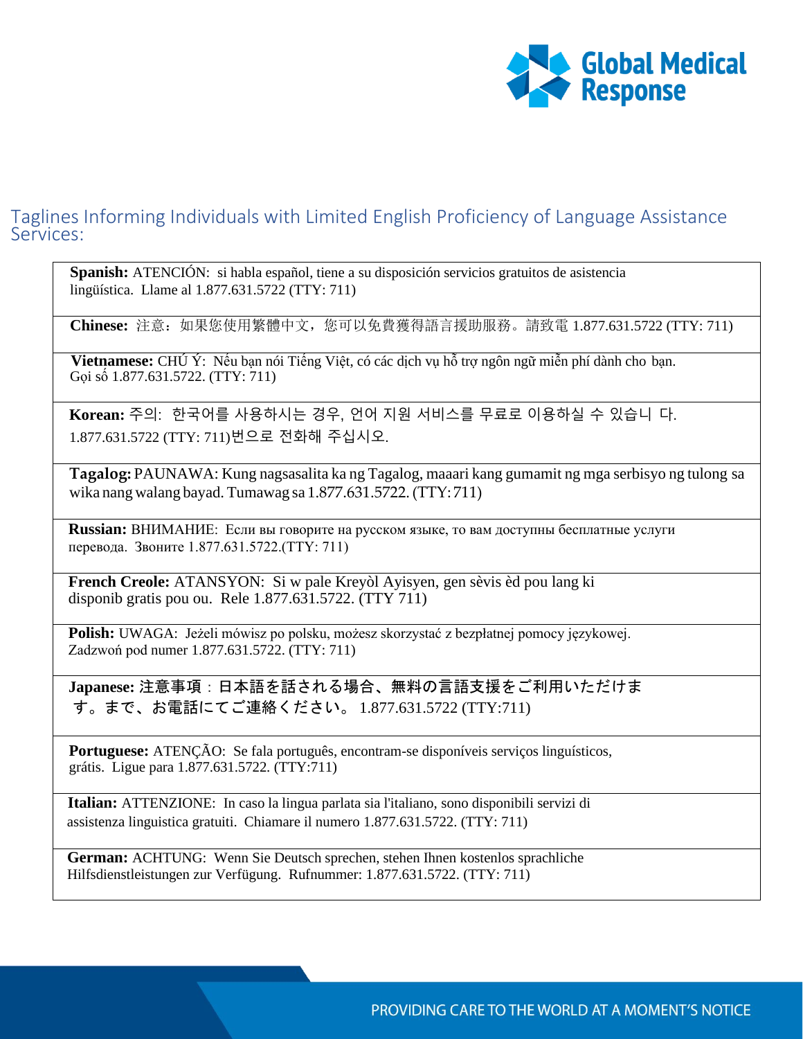

## Taglines Informing Individuals with Limited English Proficiency of Language Assistance Services:

**Spanish:** ATENCIÓN: si habla español, tiene a su disposición servicios gratuitos de asistencia lingüística. Llame al 1.877.631.5722 (TTY: 711)

**Chinese:** 注意:如果您使用繁體中文,您可以免費獲得語言援助服務。請致電 1.877.631.5722 (TTY: 711)

**Vietnamese:** CHÚ Ý: Nếu bạn nói Tiếng Việt, có các dịch vụ hỗ trợ ngôn ngữ miễn phí dành cho bạn. Gọi số 1.877.631.5722. (TTY: 711)

**Korean:** 주의: 한국어를 사용하시는 경우, 언어 지원 서비스를 무료로 이용하실 수 있습니 다. 1.877.631.5722 (TTY: 711)번으로 전화해 주십시오.

**Tagalog:** PAUNAWA: Kung nagsasalita ka ng Tagalog, maaari kang gumamit ng mga serbisyo ng tulong sa wika nang walang bayad. Tumawag sa 1.877.631.5722.(TTY: 711)

**Russian:** ВНИМАНИЕ: Если вы говорите на русском языке, то вам доступны бесплатные услуги перевода. Звоните 1.877.631.5722.(TTY: 711)

**French Creole:** ATANSYON: Si w pale Kreyòl Ayisyen, gen sèvis èd pou lang ki disponib gratis pou ou. Rele 1.877.631.5722. (TTY 711)

**Polish:** UWAGA: Jeżeli mówisz po polsku, możesz skorzystać z bezpłatnej pomocy językowej. Zadzwoń pod numer 1.877.631.5722. (TTY: 711)

**Japanese:** 注意事項:日本語を話される場合、無料の言語支援をご利用いただけま す。まで、お電話にてご連絡ください。 1.877.631.5722 (TTY:711)

**Portuguese:** ATENÇÃO: Se fala português, encontram-se disponíveis serviços linguísticos, grátis. Ligue para 1.877.631.5722. (TTY:711)

**Italian:** ATTENZIONE: In caso la lingua parlata sia l'italiano, sono disponibili servizi di assistenza linguistica gratuiti. Chiamare il numero 1.877.631.5722. (TTY: 711)

**German:** ACHTUNG: Wenn Sie Deutsch sprechen, stehen Ihnen kostenlos sprachliche Hilfsdienstleistungen zur Verfügung. Rufnummer: 1.877.631.5722. (TTY: 711)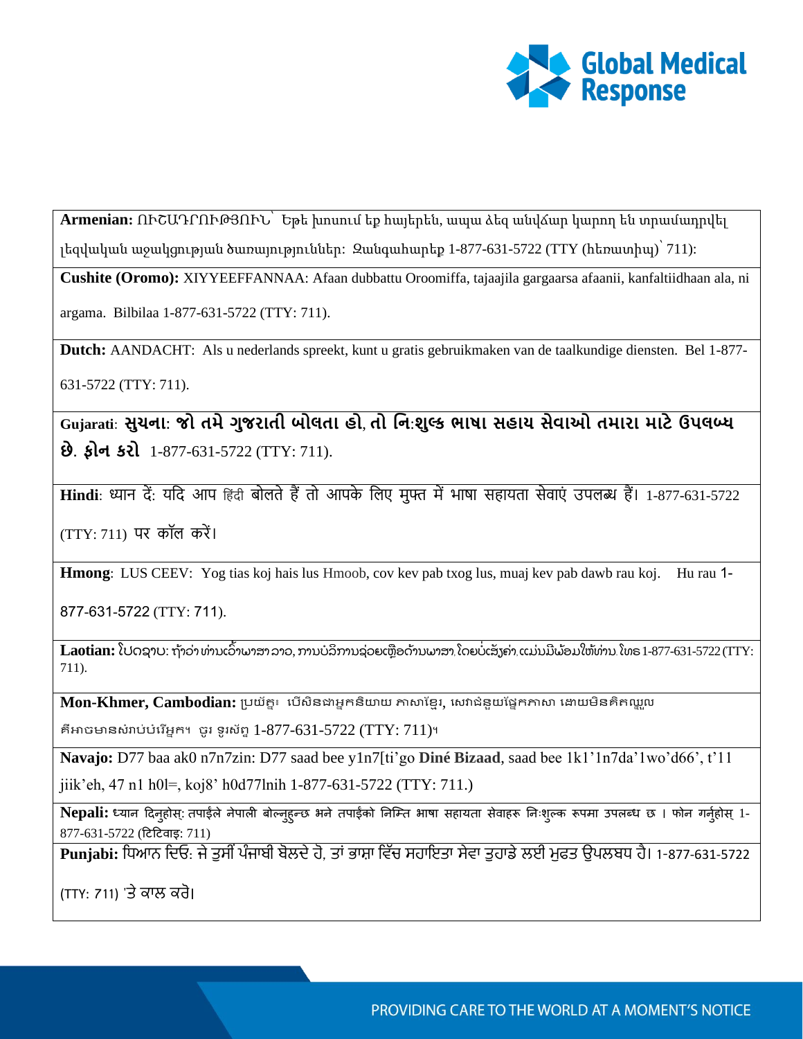

**Armenian:** ՈՒՇԱԴՐՈՒԹՅՈՒՆ՝ Եթե խոսում եք հայերեն, ապա ձեզ անվճար կարող են տրամադրվել լեզվական աջակցության ծառայություններ: Զանգահարեք 1-877-631-5722 (TTY (հեռատիպ)՝ 711):

**Cushite (Oromo):** XIYYEEFFANNAA: Afaan dubbattu Oroomiffa, tajaajila gargaarsa afaanii, kanfaltiidhaan ala, ni argama. Bilbilaa 1-877-631-5722 (TTY: 711).

**Dutch:** AANDACHT: Als u nederlands spreekt, kunt u gratis gebruikmaken van de taalkundige diensten. Bel 1-877- 631-5722 (TTY: 711).

**Gujarati**: **સુચના: જો તમેગુજરાતી બોલતા હો**, **તો નન**:**શુલ્ક ભાષા સહાય સેવાઓ તમારા માટેઉપલબ્ધ છે. ફોન કરો** 1-877-631-5722 (TTY: 711).

**Hindi**: ध्यान दें: यदि आप हिंदी बोलते हैं तो आपके लिए मुफ्त में भाषा सहायता सेवाएं उपलब्ध हैं। 1-877-631-5722

(TTY: 711) पर कॉल करें ।

**Hmong**: LUS CEEV: Yog tias koj hais lus Hmoob, cov kev pab txog lus, muaj kev pab dawb rau koj. Hu rau 1-

877-631-5722 (TTY: 711).

 $\bf {Laotian:}$  ໂປດຊາບ: ຖ້າວ່າ ທ່ານເວົ້າພາສາລາວ, ການບໍລິການຊ່ວຍເຫຼືອດ້ານພາສາ ໂດຍບໍ່ເສັງຄ່າ ແມ່ນມີພ້ອມໃຫ້ທ່ານ ໂທຣ 1-877-631-5722 (TTY: 711).

 $\mathbf{Mon\text{-}Khmer, Cambodian:}$  ប្រយ័គ្ន៖ បើសិនជាអ្នកនិយាយ ភាសាខ្មែរ, សេវាជំនួយផ្នែកភាសា ដោយមិនគិតឈ្លួល

គឺអាចមានសំរាប់បំរើអ្នក។ ចូរ ទូរស័ព្ទ  $1-877-631-5722$  (TTY:  $711$ )។

**Navajo:** D77 baa ak0 n7n7zin: D77 saad bee y1n7[ti'go **Diné Bizaad**, saad bee 1k1'1n7da'1wo'd66', t'11

jiik'eh, 47 n1 h0l=, koj8' h0d77lnih 1-877-631-5722 (TTY: 711.)

Nepali: ध्यान दिनुहोस्: तपाईले नेपाली बोल्नुहुन्छ भने तपाईको निम्ति भाषा सहायता सेवाहरू निःशुल्क रूपमा उपलब्ध छ । फोन गर्नुहोस् 1-877-631-5722 (दिदिवार्इ: 711)

 $\overline{\mathbf{Punjabi:}}$  ਧਿਆਨ ਦਿਓ: ਜੇ ਤੁਸੀਂ ਪੰਜਾਬੀ ਬੋਲਦੇ ਹੋ, ਤਾਂ ਭਾਸ਼ਾ ਵਿੱਚ ਸਹਾਇਤਾ ਸੇਵਾ ਤੁਹਾਡੇ ਲਈ ਮਫਤ ਉਪਲਬਧ ਹੈ। 1-877-631-5722

(TTY: 711) 'ਤੇ ਕਾਲ ਕਰੋ।